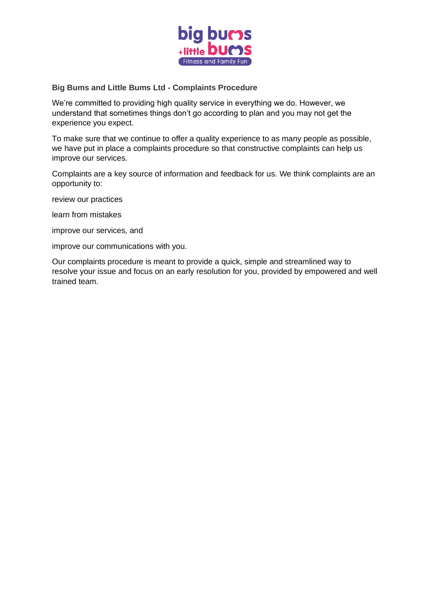

# **Big Bums and Little Bums Ltd - Complaints Procedure**

We're committed to providing high quality service in everything we do. However, we understand that sometimes things don't go according to plan and you may not get the experience you expect.

To make sure that we continue to offer a quality experience to as many people as possible, we have put in place a complaints procedure so that constructive complaints can help us improve our services.

Complaints are a key source of information and feedback for us. We think complaints are an opportunity to:

review our practices

learn from mistakes

improve our services, and

improve our communications with you.

Our complaints procedure is meant to provide a quick, simple and streamlined way to resolve your issue and focus on an early resolution for you, provided by empowered and well trained team.